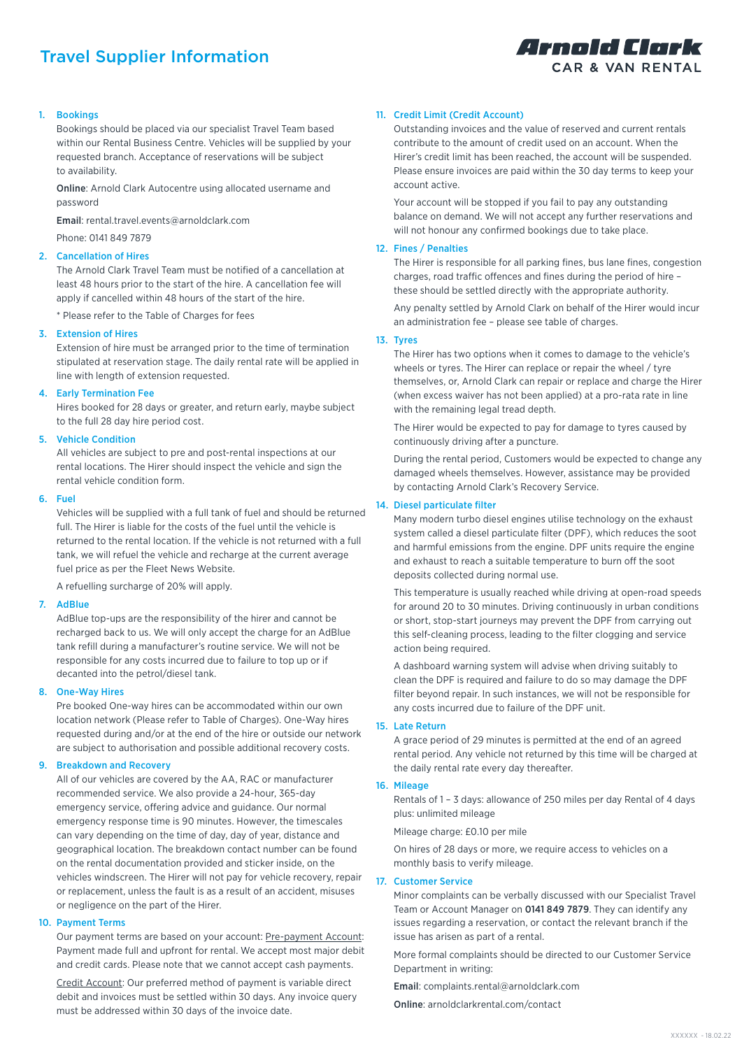# Travel Supplier Information



# 1. Bookings

Bookings should be placed via our specialist Travel Team based within our Rental Business Centre. Vehicles will be supplied by your requested branch. Acceptance of reservations will be subject to availability.

Online: Arnold Clark Autocentre using allocated username and password

Email: rental.travel.events@arnoldclark.com

Phone: 0141 849 7879

## 2. Cancellation of Hires

The Arnold Clark Travel Team must be notified of a cancellation at least 48 hours prior to the start of the hire. A cancellation fee will apply if cancelled within 48 hours of the start of the hire.

\* Please refer to the Table of Charges for fees

## 3. Extension of Hires

Extension of hire must be arranged prior to the time of termination stipulated at reservation stage. The daily rental rate will be applied in line with length of extension requested.

# 4. Early Termination Fee

Hires booked for 28 days or greater, and return early, maybe subject to the full 28 day hire period cost.

## 5. Vehicle Condition

All vehicles are subject to pre and post-rental inspections at our rental locations. The Hirer should inspect the vehicle and sign the rental vehicle condition form.

#### 6. Fuel

Vehicles will be supplied with a full tank of fuel and should be returned full. The Hirer is liable for the costs of the fuel until the vehicle is returned to the rental location. If the vehicle is not returned with a full tank, we will refuel the vehicle and recharge at the current average fuel price as per the Fleet News Website.

A refuelling surcharge of 20% will apply.

# 7. AdBlue

AdBlue top-ups are the responsibility of the hirer and cannot be recharged back to us. We will only accept the charge for an AdBlue tank refill during a manufacturer's routine service. We will not be responsible for any costs incurred due to failure to top up or if decanted into the petrol/diesel tank.

## 8. One-Way Hires

Pre booked One-way hires can be accommodated within our own location network (Please refer to Table of Charges). One-Way hires requested during and/or at the end of the hire or outside our network are subject to authorisation and possible additional recovery costs.

## 9. Breakdown and Recovery

All of our vehicles are covered by the AA, RAC or manufacturer recommended service. We also provide a 24-hour, 365-day emergency service, offering advice and guidance. Our normal emergency response time is 90 minutes. However, the timescales can vary depending on the time of day, day of year, distance and geographical location. The breakdown contact number can be found on the rental documentation provided and sticker inside, on the vehicles windscreen. The Hirer will not pay for vehicle recovery, repair or replacement, unless the fault is as a result of an accident, misuses or negligence on the part of the Hirer.

# 10. Payment Terms

Our payment terms are based on your account: Pre-payment Account: Payment made full and upfront for rental. We accept most major debit and credit cards. Please note that we cannot accept cash payments.

Credit Account: Our preferred method of payment is variable direct debit and invoices must be settled within 30 days. Any invoice query must be addressed within 30 days of the invoice date.

# 11. Credit Limit (Credit Account)

Outstanding invoices and the value of reserved and current rentals contribute to the amount of credit used on an account. When the Hirer's credit limit has been reached, the account will be suspended. Please ensure invoices are paid within the 30 day terms to keep your account active.

Your account will be stopped if you fail to pay any outstanding balance on demand. We will not accept any further reservations and will not honour any confirmed bookings due to take place.

#### 12. Fines / Penalties

The Hirer is responsible for all parking fines, bus lane fines, congestion charges, road traffic offences and fines during the period of hire – these should be settled directly with the appropriate authority.

Any penalty settled by Arnold Clark on behalf of the Hirer would incur an administration fee – please see table of charges.

#### 13. Tyres

The Hirer has two options when it comes to damage to the vehicle's wheels or tyres. The Hirer can replace or repair the wheel / tyre themselves, or, Arnold Clark can repair or replace and charge the Hirer (when excess waiver has not been applied) at a pro-rata rate in line with the remaining legal tread depth.

The Hirer would be expected to pay for damage to tyres caused by continuously driving after a puncture.

During the rental period, Customers would be expected to change any damaged wheels themselves. However, assistance may be provided by contacting Arnold Clark's Recovery Service.

#### 14. Diesel particulate filter

Many modern turbo diesel engines utilise technology on the exhaust system called a diesel particulate filter (DPF), which reduces the soot and harmful emissions from the engine. DPF units require the engine and exhaust to reach a suitable temperature to burn off the soot deposits collected during normal use.

This temperature is usually reached while driving at open-road speeds for around 20 to 30 minutes. Driving continuously in urban conditions or short, stop-start journeys may prevent the DPF from carrying out this self-cleaning process, leading to the filter clogging and service action being required.

A dashboard warning system will advise when driving suitably to clean the DPF is required and failure to do so may damage the DPF filter beyond repair. In such instances, we will not be responsible for any costs incurred due to failure of the DPF unit.

#### 15. Late Return

A grace period of 29 minutes is permitted at the end of an agreed rental period. Any vehicle not returned by this time will be charged at the daily rental rate every day thereafter.

# 16. Mileage

Rentals of 1 – 3 days: allowance of 250 miles per day Rental of 4 days plus: unlimited mileage

Mileage charge: £0.10 per mile

On hires of 28 days or more, we require access to vehicles on a monthly basis to verify mileage.

#### 17. Customer Service

Minor complaints can be verbally discussed with our Specialist Travel Team or Account Manager on 0141 849 7879. They can identify any issues regarding a reservation, or contact the relevant branch if the issue has arisen as part of a rental.

More formal complaints should be directed to our Customer Service Department in writing:

Email: complaints.rental@arnoldclark.com

Online: arnoldclarkrental.com/contact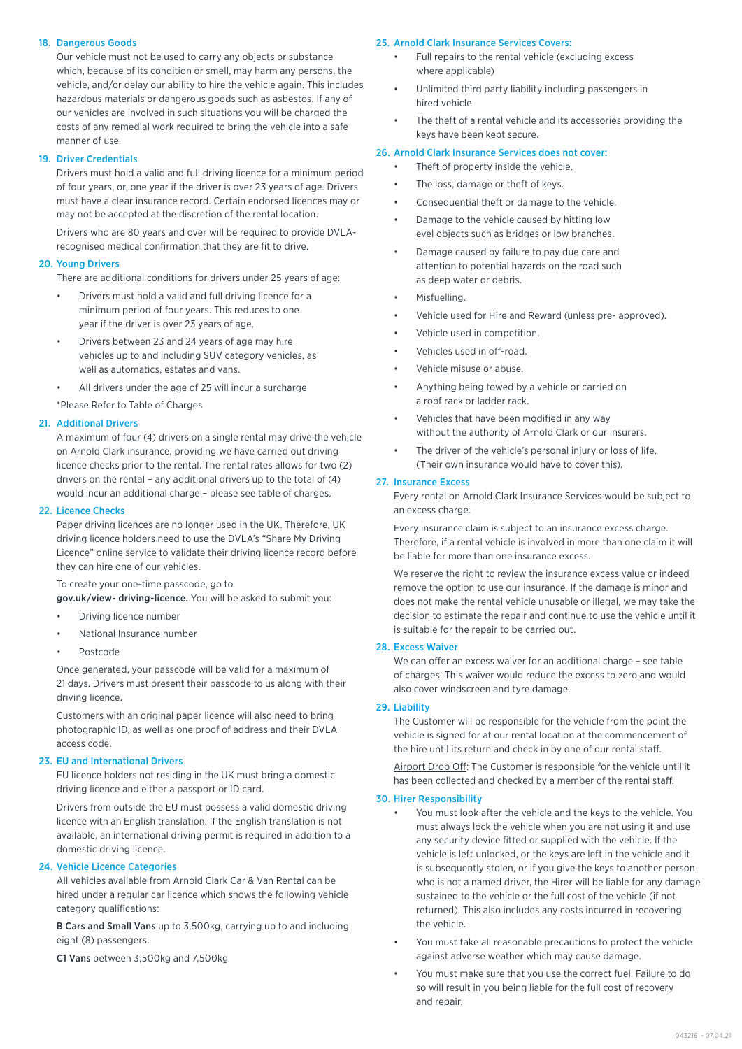# 18. Dangerous Goods

Our vehicle must not be used to carry any objects or substance which, because of its condition or smell, may harm any persons, the vehicle, and/or delay our ability to hire the vehicle again. This includes hazardous materials or dangerous goods such as asbestos. If any of our vehicles are involved in such situations you will be charged the costs of any remedial work required to bring the vehicle into a safe manner of use.

## 19. Driver Credentials

Drivers must hold a valid and full driving licence for a minimum period of four years, or, one year if the driver is over 23 years of age. Drivers must have a clear insurance record. Certain endorsed licences may or may not be accepted at the discretion of the rental location.

Drivers who are 80 years and over will be required to provide DVLArecognised medical confirmation that they are fit to drive.

## 20. Young Drivers

There are additional conditions for drivers under 25 years of age:

- Drivers must hold a valid and full driving licence for a minimum period of four years. This reduces to one year if the driver is over 23 years of age.
- Drivers between 23 and 24 years of age may hire vehicles up to and including SUV category vehicles, as well as automatics, estates and vans.
- All drivers under the age of 25 will incur a surcharge

\*Please Refer to Table of Charges

# 21. Additional Drivers

A maximum of four (4) drivers on a single rental may drive the vehicle on Arnold Clark insurance, providing we have carried out driving licence checks prior to the rental. The rental rates allows for two (2) drivers on the rental – any additional drivers up to the total of (4) would incur an additional charge – please see table of charges.

# 22. Licence Checks

Paper driving licences are no longer used in the UK. Therefore, UK driving licence holders need to use the DVLA's "Share My Driving Licence" online service to validate their driving licence record before they can hire one of our vehicles.

# To create your one-time passcode, go to

gov.uk/view- driving-licence. You will be asked to submit you:

- Driving licence number
- National Insurance number
- Postcode

Once generated, your passcode will be valid for a maximum of 21 days. Drivers must present their passcode to us along with their driving licence.

Customers with an original paper licence will also need to bring photographic ID, as well as one proof of address and their DVLA access code.

## 23. EU and International Drivers

EU licence holders not residing in the UK must bring a domestic driving licence and either a passport or ID card.

Drivers from outside the EU must possess a valid domestic driving licence with an English translation. If the English translation is not available, an international driving permit is required in addition to a domestic driving licence.

# 24. Vehicle Licence Categories

All vehicles available from Arnold Clark Car & Van Rental can be hired under a regular car licence which shows the following vehicle category qualifications:

B Cars and Small Vans up to 3,500kg, carrying up to and including eight (8) passengers.

C1 Vans between 3,500kg and 7,500kg

#### 25. Arnold Clark Insurance Services Covers:

- Full repairs to the rental vehicle (excluding excess where applicable)
- Unlimited third party liability including passengers in hired vehicle
- The theft of a rental vehicle and its accessories providing the keys have been kept secure.

## 26. Arnold Clark Insurance Services does not cover:

- Theft of property inside the vehicle.
- The loss, damage or theft of keys.
- Consequential theft or damage to the vehicle.
- Damage to the vehicle caused by hitting low evel objects such as bridges or low branches.
- Damage caused by failure to pay due care and attention to potential hazards on the road such as deep water or debris.
- Misfuelling.
- Vehicle used for Hire and Reward (unless pre- approved).
- Vehicle used in competition.
- Vehicles used in off-road.
- Vehicle misuse or abuse.
- Anything being towed by a vehicle or carried on a roof rack or ladder rack.
- Vehicles that have been modified in any way without the authority of Arnold Clark or our insurers.
- The driver of the vehicle's personal injury or loss of life. (Their own insurance would have to cover this).

# 27. Insurance Excess

Every rental on Arnold Clark Insurance Services would be subject to an excess charge.

Every insurance claim is subject to an insurance excess charge. Therefore, if a rental vehicle is involved in more than one claim it will be liable for more than one insurance excess.

We reserve the right to review the insurance excess value or indeed remove the option to use our insurance. If the damage is minor and does not make the rental vehicle unusable or illegal, we may take the decision to estimate the repair and continue to use the vehicle until it is suitable for the repair to be carried out.

## 28. Excess Waiver

We can offer an excess waiver for an additional charge – see table of charges. This waiver would reduce the excess to zero and would also cover windscreen and tyre damage.

## 29. Liability

The Customer will be responsible for the vehicle from the point the vehicle is signed for at our rental location at the commencement of the hire until its return and check in by one of our rental staff.

Airport Drop Off: The Customer is responsible for the vehicle until it has been collected and checked by a member of the rental staff.

## 30. Hirer Responsibility

- You must look after the vehicle and the keys to the vehicle. You must always lock the vehicle when you are not using it and use any security device fitted or supplied with the vehicle. If the vehicle is left unlocked, or the keys are left in the vehicle and it is subsequently stolen, or if you give the keys to another person who is not a named driver, the Hirer will be liable for any damage sustained to the vehicle or the full cost of the vehicle (if not returned). This also includes any costs incurred in recovering the vehicle.
- You must take all reasonable precautions to protect the vehicle against adverse weather which may cause damage.
- You must make sure that you use the correct fuel. Failure to do so will result in you being liable for the full cost of recovery and repair.